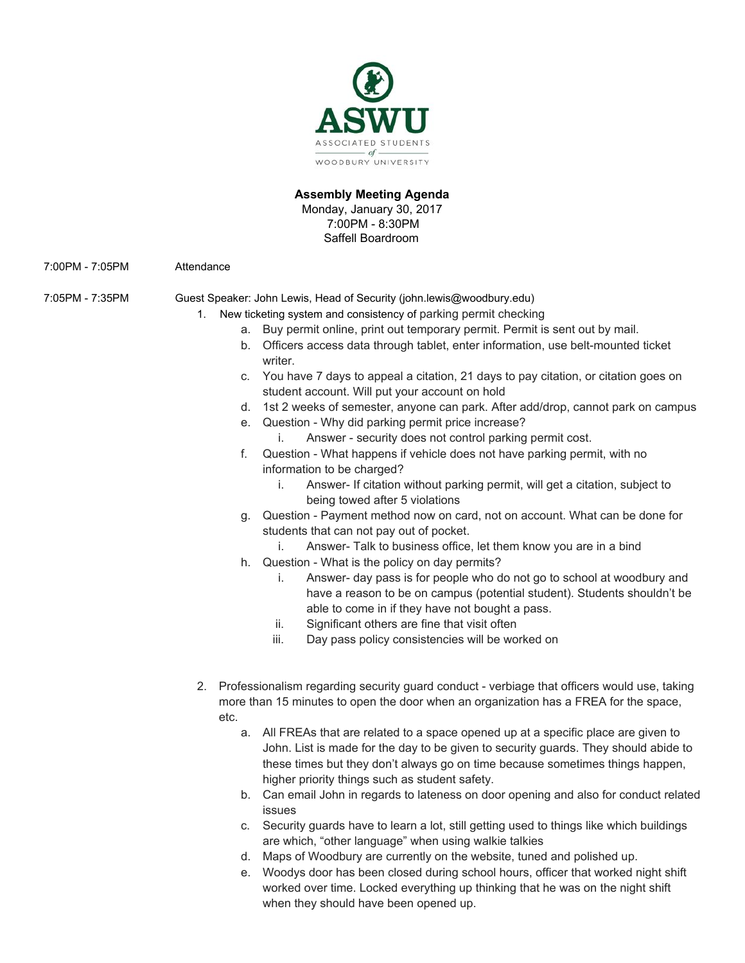

## **Assembly Meeting Agenda**

Monday, January 30, 2017 7:00PM - 8:30PM Saffell Boardroom

7:00PM - 7:05PM Attendance

7:05PM - 7:35PM Guest Speaker: John Lewis, Head of Security (john.lewis@woodbury.edu)

- 1. New ticketing system and consistency of parking permit checking
	- a. Buy permit online, print out temporary permit. Permit is sent out by mail.
	- b. Officers access data through tablet, enter information, use belt-mounted ticket writer.
	- c. You have 7 days to appeal a citation, 21 days to pay citation, or citation goes on student account. Will put your account on hold
	- d. 1st 2 weeks of semester, anyone can park. After add/drop, cannot park on campus
	- e. Question Why did parking permit price increase?
		- i. Answer security does not control parking permit cost.
	- f. Question What happens if vehicle does not have parking permit, with no information to be charged?
		- i. Answer- If citation without parking permit, will get a citation, subject to being towed after 5 violations
	- g. Question Payment method now on card, not on account. What can be done for students that can not pay out of pocket.
		- i. Answer- Talk to business office, let them know you are in a bind
	- h. Question What is the policy on day permits?
		- i. Answer- day pass is for people who do not go to school at woodbury and have a reason to be on campus (potential student). Students shouldn't be able to come in if they have not bought a pass.
		- ii. Significant others are fine that visit often
		- iii. Day pass policy consistencies will be worked on
- 2. Professionalism regarding security guard conduct verbiage that officers would use, taking more than 15 minutes to open the door when an organization has a FREA for the space, etc.
	- a. All FREAs that are related to a space opened up at a specific place are given to John. List is made for the day to be given to security guards. They should abide to these times but they don't always go on time because sometimes things happen, higher priority things such as student safety.
	- b. Can email John in regards to lateness on door opening and also for conduct related issues
	- c. Security guards have to learn a lot, still getting used to things like which buildings are which, "other language" when using walkie talkies
	- d. Maps of Woodbury are currently on the website, tuned and polished up.
	- e. Woodys door has been closed during school hours, officer that worked night shift worked over time. Locked everything up thinking that he was on the night shift when they should have been opened up.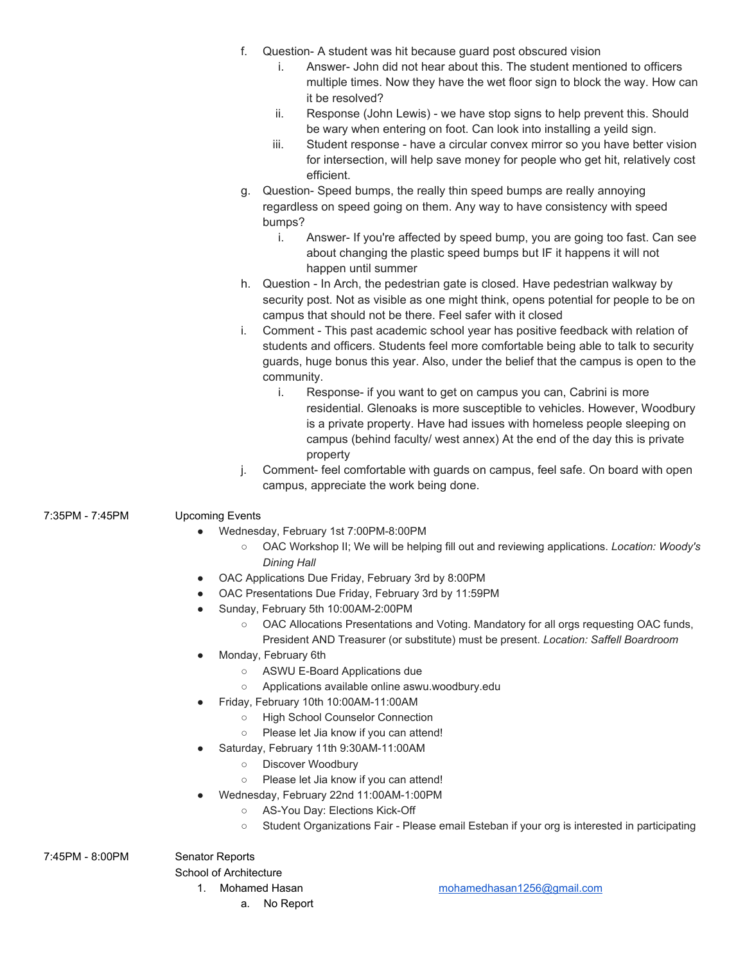- f. Question- A student was hit because guard post obscured vision
	- i. Answer- John did not hear about this. The student mentioned to officers multiple times. Now they have the wet floor sign to block the way. How can it be resolved?
	- ii. Response (John Lewis) we have stop signs to help prevent this. Should be wary when entering on foot. Can look into installing a yeild sign.
	- iii. Student response have a circular convex mirror so you have better vision for intersection, will help save money for people who get hit, relatively cost efficient.
- g. Question- Speed bumps, the really thin speed bumps are really annoying regardless on speed going on them. Any way to have consistency with speed bumps?
	- i. Answer- If you're affected by speed bump, you are going too fast. Can see about changing the plastic speed bumps but IF it happens it will not happen until summer
- h. Question In Arch, the pedestrian gate is closed. Have pedestrian walkway by security post. Not as visible as one might think, opens potential for people to be on campus that should not be there. Feel safer with it closed
- i. Comment This past academic school year has positive feedback with relation of students and officers. Students feel more comfortable being able to talk to security guards, huge bonus this year. Also, under the belief that the campus is open to the community.
	- i. Response- if you want to get on campus you can, Cabrini is more residential. Glenoaks is more susceptible to vehicles. However, Woodbury is a private property. Have had issues with homeless people sleeping on campus (behind faculty/ west annex) At the end of the day this is private property
- j. Comment- feel comfortable with guards on campus, feel safe. On board with open campus, appreciate the work being done.

# 7:35PM - 7:45PM Upcoming Events

- Wednesday, February 1st 7:00PM-8:00PM
	- OAC Workshop II; We will be helping fill out and reviewing applications. *Location: Woody's Dining Hall*
- OAC Applications Due Friday, February 3rd by 8:00PM
- OAC Presentations Due Friday, February 3rd by 11:59PM
- Sunday, February 5th 10:00AM-2:00PM
	- OAC Allocations Presentations and Voting. Mandatory for all orgs requesting OAC funds,
	- President AND Treasurer (or substitute) must be present. *Location: Saffell Boardroom*
- Monday, February 6th
	- ASWU E-Board Applications due
	- Applications available online aswu.woodbury.edu
- Friday, February 10th 10:00AM-11:00AM
	- High School Counselor Connection
	- Please let Jia know if you can attend!
- Saturday, February 11th 9:30AM-11:00AM
	- Discover Woodbury
	- Please let Jia know if you can attend!
- Wednesday, February 22nd 11:00AM-1:00PM
	- AS-You Day: Elections Kick-Off
	- Student Organizations Fair Please email Esteban if your org is interested in participating

7:45PM - 8:00PM Senator Reports

School of Architecture

- - a. No Report

1. Mohamed Hasan [mohamedhasan1256@gmail.com](mailto:mohamedhasan1256@gmail.com)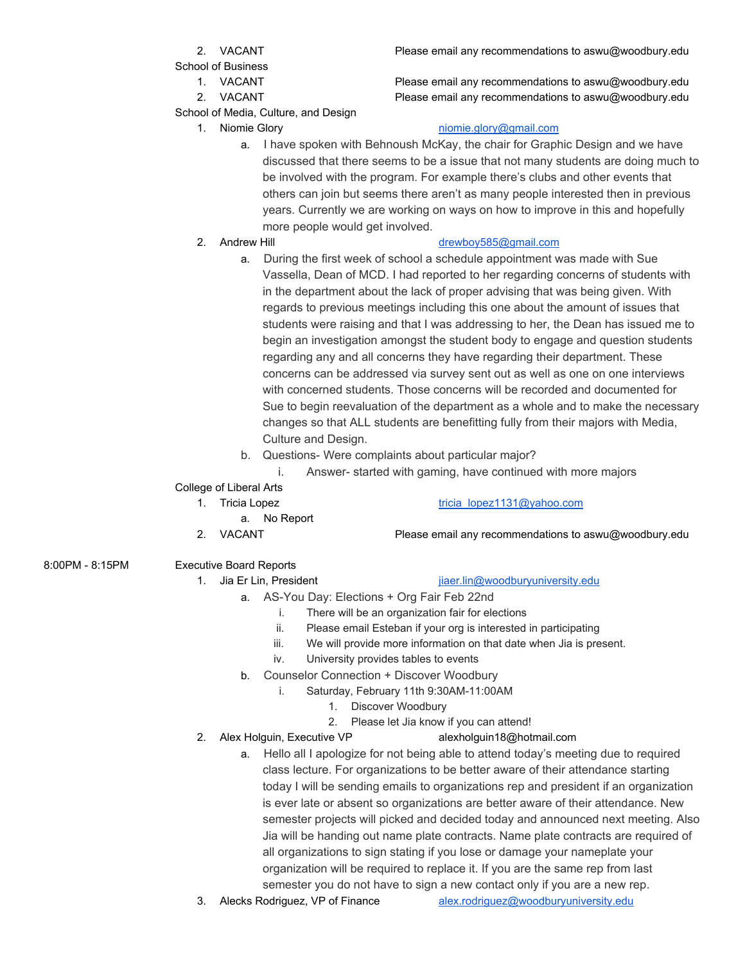School of Business

- 
- 

School of Media, Culture, and Design

1. VACANT Please email any recommendations to aswu@woodbury.edu 2. VACANT Please email any recommendations to aswu@woodbury.edu

# 1. Niomie Glory **[niomie.glory@gmail.com](mailto:niomie.glory@gmail.com)**

a. I have spoken with Behnoush McKay, the chair for Graphic Design and we have discussed that there seems to be a issue that not many students are doing much to be involved with the program. For example there's clubs and other events that others can join but seems there aren't as many people interested then in previous years. Currently we are working on ways on how to improve in this and hopefully more people would get involved.

# 2. Andrew Hill [drewboy585@gmail.com](mailto:drewboy585@gmail.com)

- a. During the first week of school a schedule appointment was made with Sue Vassella, Dean of MCD. I had reported to her regarding concerns of students with in the department about the lack of proper advising that was being given. With regards to previous meetings including this one about the amount of issues that students were raising and that I was addressing to her, the Dean has issued me to begin an investigation amongst the student body to engage and question students regarding any and all concerns they have regarding their department. These concerns can be addressed via survey sent out as well as one on one interviews with concerned students. Those concerns will be recorded and documented for Sue to begin reevaluation of the department as a whole and to make the necessary changes so that ALL students are benefitting fully from their majors with Media, Culture and Design.
- b. Questions- Were complaints about particular major?
	- i. Answer- started with gaming, have continued with more majors

# College of Liberal Arts

- - a. No Report
	-

## 1. Tricia Lopez [tricia\\_lopez1131@yahoo.com](mailto:tricia_lopez1131@yahoo.com)

2. VACANT Please email any recommendations to aswu@woodbury.edu

# 8:00PM - 8:15PM Executive Board Reports

## 1. Jia Er Lin, President in the state is a present in the intervention of the state in the state in the state is a problem of the state is a state in the state in the state is a state in the state in the state is a state i

- a. AS-You Day: Elections + Org Fair Feb 22nd
	- i. There will be an organization fair for elections
	- ii. Please email Esteban if your org is interested in participating
	- iii. We will provide more information on that date when Jia is present.
	- iv. University provides tables to events
- b. Counselor Connection + Discover Woodbury
	- i. Saturday, February 11th 9:30AM-11:00AM
		- 1. Discover Woodbury
	- 2. Please let Jia know if you can attend!
- 2. Alex Holguin, Executive VP alexholguin18@hotmail.com
	- a. Hello all I apologize for not being able to attend today's meeting due to required class lecture. For organizations to be better aware of their attendance starting today I will be sending emails to organizations rep and president if an organization is ever late or absent so organizations are better aware of their attendance. New semester projects will picked and decided today and announced next meeting. Also Jia will be handing out name plate contracts. Name plate contracts are required of all organizations to sign stating if you lose or damage your nameplate your organization will be required to replace it. If you are the same rep from last semester you do not have to sign a new contact only if you are a new rep.
- 3. Alecks Rodriguez, VP of Finance [alex.rodriguez@woodburyuniversity.edu](mailto:alex.rodriguez@woodburyuniversity.edu)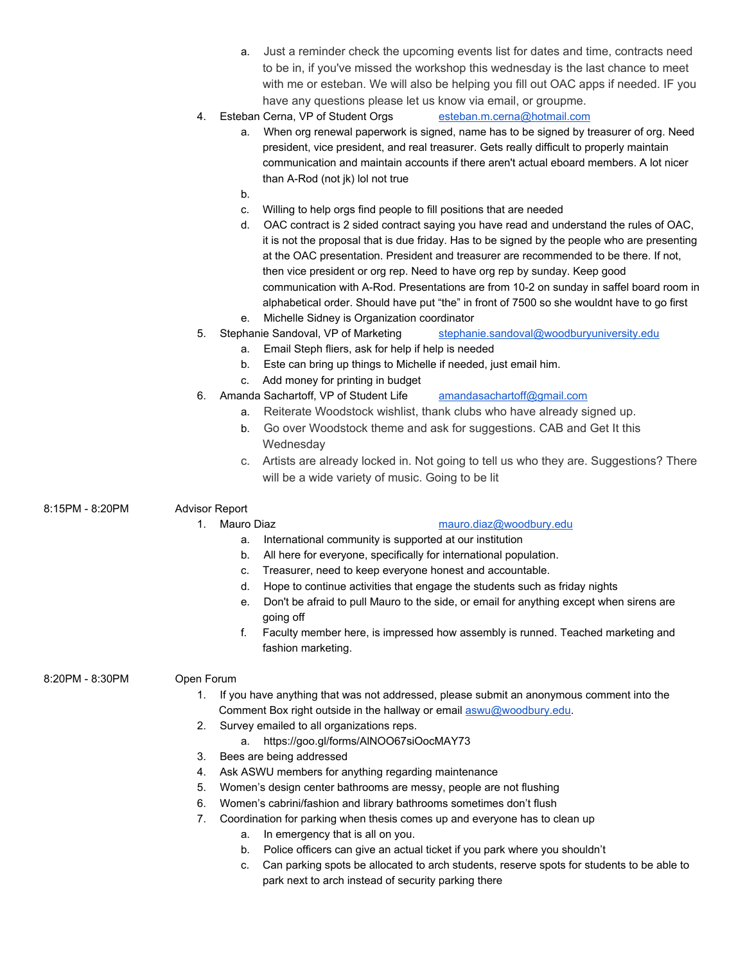| a. Just a reminder check the upcoming events list for dates and time, contracts need |
|--------------------------------------------------------------------------------------|
| to be in, if you've missed the workshop this wednesday is the last chance to meet    |
| with me or esteban. We will also be helping you fill out OAC apps if needed. IF you  |
| have any questions please let us know via email, or groupme.                         |

- 4. Esteban Cerna, VP of Student Orgs [esteban.m.cerna@hotmail.com](mailto:esteban.m.cerna@hotmail.com)
	- a. When org renewal paperwork is signed, name has to be signed by treasurer of org. Need president, vice president, and real treasurer. Gets really difficult to properly maintain communication and maintain accounts if there aren't actual eboard members. A lot nicer than A-Rod (not jk) lol not true
	- b.
	- c. Willing to help orgs find people to fill positions that are needed
	- d. OAC contract is 2 sided contract saying you have read and understand the rules of OAC, it is not the proposal that is due friday. Has to be signed by the people who are presenting at the OAC presentation. President and treasurer are recommended to be there. If not, then vice president or org rep. Need to have org rep by sunday. Keep good communication with A-Rod. Presentations are from 10-2 on sunday in saffel board room in alphabetical order. Should have put "the" in front of 7500 so she wouldnt have to go first e. Michelle Sidney is Organization coordinator
- 5. Stephanie Sandoval, VP of Marketing [stephanie.sandoval@woodburyuniversity.edu](mailto:stephanie.sandoval@woodburyuniversity.edu)
	- a. Email Steph fliers, ask for help if help is needed
	- b. Este can bring up things to Michelle if needed, just email him.
	- c. Add money for printing in budget
- 6. Amanda Sachartoff, VP of Student Life [amandasachartoff@gmail.com](mailto:amandasachartoff@gmail.com)
	- a. Reiterate Woodstock wishlist, thank clubs who have already signed up.
	- b. Go over Woodstock theme and ask for suggestions. CAB and Get It this **Wednesdav**
	- c. Artists are already locked in. Not going to tell us who they are. Suggestions? There will be a wide variety of music. Going to be lit
- 8:15PM 8:20PM Advisor Report

## 1. Mauro Diaz [mauro.diaz@woodbury.edu](mailto:mauro.diaz@woodbury.edu)

- a. International community is supported at our institution
- b. All here for everyone, specifically for international population.
- c. Treasurer, need to keep everyone honest and accountable.
- d. Hope to continue activities that engage the students such as friday nights
- e. Don't be afraid to pull Mauro to the side, or email for anything except when sirens are going off
- f. Faculty member here, is impressed how assembly is runned. Teached marketing and fashion marketing.

### 8:20PM - 8:30PM Open Forum

- 1. If you have anything that was not addressed, please submit an anonymous comment into the Comment Box right outside in the hallway or email [aswu@woodbury.edu.](mailto:aswu@woodbury.edu)
- 2. Survey emailed to all organizations reps.
	- a. https://goo.gl/forms/AlNOO67siOocMAY73
- 3. Bees are being addressed
- 4. Ask ASWU members for anything regarding maintenance
- 5. Women's design center bathrooms are messy, people are not flushing
- 6. Women's cabrini/fashion and library bathrooms sometimes don't flush
- 7. Coordination for parking when thesis comes up and everyone has to clean up
	- a. In emergency that is all on you.
	- b. Police officers can give an actual ticket if you park where you shouldn't
	- c. Can parking spots be allocated to arch students, reserve spots for students to be able to park next to arch instead of security parking there